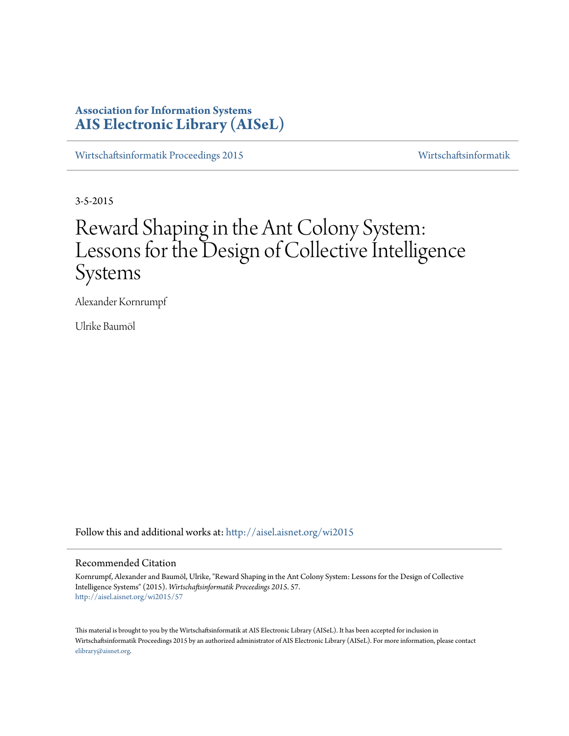# **Association for Information Systems [AIS Electronic Library \(AISeL\)](http://aisel.aisnet.org?utm_source=aisel.aisnet.org%2Fwi2015%2F57&utm_medium=PDF&utm_campaign=PDFCoverPages)**

[Wirtschaftsinformatik Proceedings 2015](http://aisel.aisnet.org/wi2015?utm_source=aisel.aisnet.org%2Fwi2015%2F57&utm_medium=PDF&utm_campaign=PDFCoverPages) [Wirtschaftsinformatik](http://aisel.aisnet.org/wi?utm_source=aisel.aisnet.org%2Fwi2015%2F57&utm_medium=PDF&utm_campaign=PDFCoverPages)

3-5-2015

# Reward Shaping in the Ant Colony System: Lessons for the Design of Collective Intelligence Systems

Alexander Kornrumpf

Ulrike Baumöl

Follow this and additional works at: [http://aisel.aisnet.org/wi2015](http://aisel.aisnet.org/wi2015?utm_source=aisel.aisnet.org%2Fwi2015%2F57&utm_medium=PDF&utm_campaign=PDFCoverPages)

# Recommended Citation

Kornrumpf, Alexander and Baumöl, Ulrike, "Reward Shaping in the Ant Colony System: Lessons for the Design of Collective Intelligence Systems" (2015). *Wirtschaftsinformatik Proceedings 2015*. 57. [http://aisel.aisnet.org/wi2015/57](http://aisel.aisnet.org/wi2015/57?utm_source=aisel.aisnet.org%2Fwi2015%2F57&utm_medium=PDF&utm_campaign=PDFCoverPages)

This material is brought to you by the Wirtschaftsinformatik at AIS Electronic Library (AISeL). It has been accepted for inclusion in Wirtschaftsinformatik Proceedings 2015 by an authorized administrator of AIS Electronic Library (AISeL). For more information, please contact [elibrary@aisnet.org.](mailto:elibrary@aisnet.org%3E)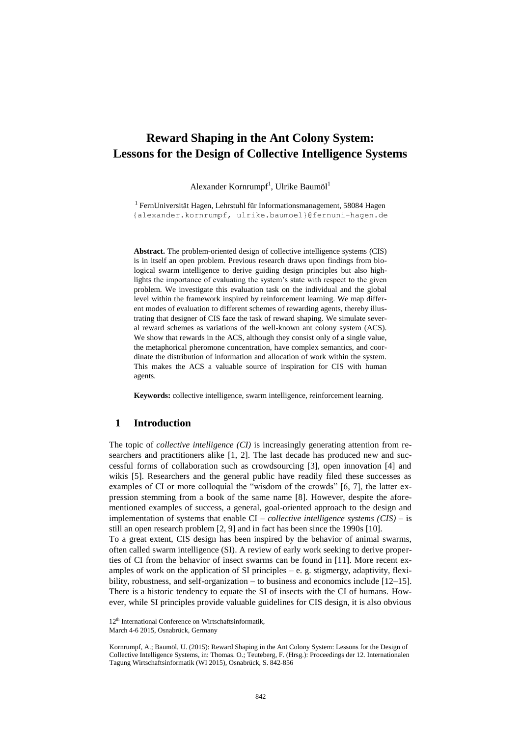# **Reward Shaping in the Ant Colony System: Lessons for the Design of Collective Intelligence Systems**

Alexander Kornrumpf<sup>1</sup>, Ulrike Baumöl<sup>1</sup>

<sup>1</sup> FernUniversität Hagen, Lehrstuhl für Informationsmanagement, 58084 Hagen {alexander.kornrumpf, ulrike.baumoel}@fernuni-hagen.de

**Abstract.** The problem-oriented design of collective intelligence systems (CIS) is in itself an open problem. Previous research draws upon findings from biological swarm intelligence to derive guiding design principles but also highlights the importance of evaluating the system's state with respect to the given problem. We investigate this evaluation task on the individual and the global level within the framework inspired by reinforcement learning. We map different modes of evaluation to different schemes of rewarding agents, thereby illustrating that designer of CIS face the task of reward shaping. We simulate several reward schemes as variations of the well-known ant colony system (ACS). We show that rewards in the ACS, although they consist only of a single value, the metaphorical pheromone concentration, have complex semantics, and coordinate the distribution of information and allocation of work within the system. This makes the ACS a valuable source of inspiration for CIS with human agents.

**Keywords:** collective intelligence, swarm intelligence, reinforcement learning.

# **1 Introduction**

The topic of *collective intelligence (CI)* is increasingly generating attention from researchers and practitioners alike [1, 2]. The last decade has produced new and successful forms of collaboration such as crowdsourcing [3], open innovation [4] and wikis [5]. Researchers and the general public have readily filed these successes as examples of CI or more colloquial the "wisdom of the crowds" [6, 7], the latter expression stemming from a book of the same name [8]. However, despite the aforementioned examples of success, a general, goal-oriented approach to the design and implementation of systems that enable CI – *collective intelligence systems (CIS)* – is still an open research problem [2, 9] and in fact has been since the 1990s [10].

To a great extent, CIS design has been inspired by the behavior of animal swarms, often called swarm intelligence (SI). A review of early work seeking to derive properties of CI from the behavior of insect swarms can be found in [11]. More recent examples of work on the application of SI principles  $-e$ . g. stigmergy, adaptivity, flexibility, robustness, and self-organization – to business and economics include [12–15]. There is a historic tendency to equate the SI of insects with the CI of humans. However, while SI principles provide valuable guidelines for CIS design, it is also obvious

<sup>12&</sup>lt;sup>th</sup> International Conference on Wirtschaftsinformatik,

March 4-6 2015, Osnabrück, Germany

Kornrumpf, A.; Baumöl, U. (2015): Reward Shaping in the Ant Colony System: Lessons for the Design of Collective Intelligence Systems, in: Thomas. O.; Teuteberg, F. (Hrsg.): Proceedings der 12. Internationalen Tagung Wirtschaftsinformatik (WI 2015), Osnabrück, S. 842-856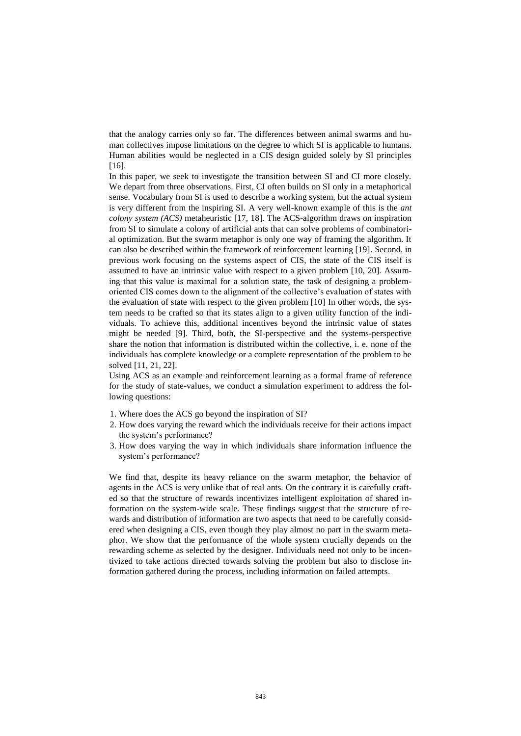that the analogy carries only so far. The differences between animal swarms and human collectives impose limitations on the degree to which SI is applicable to humans. Human abilities would be neglected in a CIS design guided solely by SI principles [16].

In this paper, we seek to investigate the transition between SI and CI more closely. We depart from three observations. First, CI often builds on SI only in a metaphorical sense. Vocabulary from SI is used to describe a working system, but the actual system is very different from the inspiring SI. A very well-known example of this is the *ant colony system (ACS)* metaheuristic [17, 18]. The ACS-algorithm draws on inspiration from SI to simulate a colony of artificial ants that can solve problems of combinatorial optimization. But the swarm metaphor is only one way of framing the algorithm. It can also be described within the framework of reinforcement learning [19]. Second, in previous work focusing on the systems aspect of CIS, the state of the CIS itself is assumed to have an intrinsic value with respect to a given problem [10, 20]. Assuming that this value is maximal for a solution state, the task of designing a problemoriented CIS comes down to the alignment of the collective's evaluation of states with the evaluation of state with respect to the given problem [10] In other words, the system needs to be crafted so that its states align to a given utility function of the individuals. To achieve this, additional incentives beyond the intrinsic value of states might be needed [9]. Third, both, the SI-perspective and the systems-perspective share the notion that information is distributed within the collective, i. e. none of the individuals has complete knowledge or a complete representation of the problem to be solved [11, 21, 22].

Using ACS as an example and reinforcement learning as a formal frame of reference for the study of state-values, we conduct a simulation experiment to address the following questions:

- 1. Where does the ACS go beyond the inspiration of SI?
- 2. How does varying the reward which the individuals receive for their actions impact the system's performance?
- 3. How does varying the way in which individuals share information influence the system's performance?

We find that, despite its heavy reliance on the swarm metaphor, the behavior of agents in the ACS is very unlike that of real ants. On the contrary it is carefully crafted so that the structure of rewards incentivizes intelligent exploitation of shared information on the system-wide scale. These findings suggest that the structure of rewards and distribution of information are two aspects that need to be carefully considered when designing a CIS, even though they play almost no part in the swarm metaphor. We show that the performance of the whole system crucially depends on the rewarding scheme as selected by the designer. Individuals need not only to be incentivized to take actions directed towards solving the problem but also to disclose information gathered during the process, including information on failed attempts.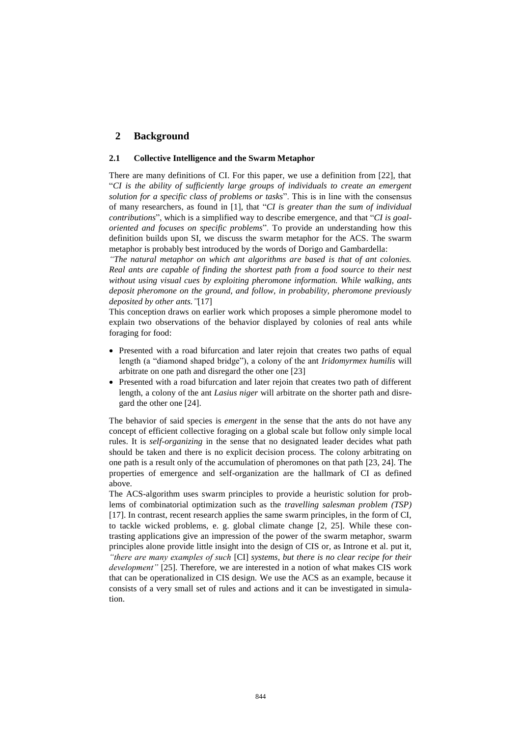# **2 Background**

# **2.1 Collective Intelligence and the Swarm Metaphor**

There are many definitions of CI. For this paper, we use a definition from [22], that "*CI is the ability of sufficiently large groups of individuals to create an emergent solution for a specific class of problems or tasks*". This is in line with the consensus of many researchers, as found in [1], that "*CI is greater than the sum of individual contributions*", which is a simplified way to describe emergence, and that "*CI is goaloriented and focuses on specific problems*". To provide an understanding how this definition builds upon SI, we discuss the swarm metaphor for the ACS. The swarm metaphor is probably best introduced by the words of Dorigo and Gambardella:

*"The natural metaphor on which ant algorithms are based is that of ant colonies. Real ants are capable of finding the shortest path from a food source to their nest without using visual cues by exploiting pheromone information. While walking, ants deposit pheromone on the ground, and follow, in probability, pheromone previously deposited by other ants."*[17]

This conception draws on earlier work which proposes a simple pheromone model to explain two observations of the behavior displayed by colonies of real ants while foraging for food:

- Presented with a road bifurcation and later rejoin that creates two paths of equal length (a "diamond shaped bridge"), a colony of the ant *Iridomyrmex humilis* will arbitrate on one path and disregard the other one [23]
- Presented with a road bifurcation and later rejoin that creates two path of different length, a colony of the ant *Lasius niger* will arbitrate on the shorter path and disregard the other one [24].

The behavior of said species is *emergent* in the sense that the ants do not have any concept of efficient collective foraging on a global scale but follow only simple local rules. It is *self-organizing* in the sense that no designated leader decides what path should be taken and there is no explicit decision process. The colony arbitrating on one path is a result only of the accumulation of pheromones on that path [23, 24]. The properties of emergence and self-organization are the hallmark of CI as defined above.

The ACS-algorithm uses swarm principles to provide a heuristic solution for problems of combinatorial optimization such as the *travelling salesman problem (TSP)* [17]. In contrast, recent research applies the same swarm principles, in the form of CI, to tackle wicked problems, e. g. global climate change [2, 25]. While these contrasting applications give an impression of the power of the swarm metaphor, swarm principles alone provide little insight into the design of CIS or, as Introne et al. put it, *"there are many examples of such* [CI] *systems, but there is no clear recipe for their development"* [25]. Therefore, we are interested in a notion of what makes CIS work that can be operationalized in CIS design. We use the ACS as an example, because it consists of a very small set of rules and actions and it can be investigated in simulation.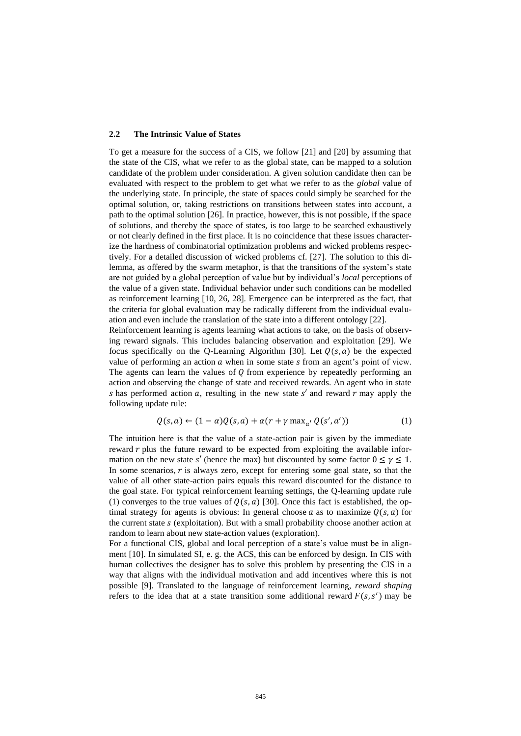#### **2.2 The Intrinsic Value of States**

To get a measure for the success of a CIS, we follow [21] and [20] by assuming that the state of the CIS, what we refer to as the global state, can be mapped to a solution candidate of the problem under consideration. A given solution candidate then can be evaluated with respect to the problem to get what we refer to as the *global* value of the underlying state. In principle, the state of spaces could simply be searched for the optimal solution, or, taking restrictions on transitions between states into account, a path to the optimal solution [26]. In practice, however, this is not possible, if the space of solutions, and thereby the space of states, is too large to be searched exhaustively or not clearly defined in the first place. It is no coincidence that these issues characterize the hardness of combinatorial optimization problems and wicked problems respectively. For a detailed discussion of wicked problems cf. [27]. The solution to this dilemma, as offered by the swarm metaphor, is that the transitions of the system's state are not guided by a global perception of value but by individual's *local* perceptions of the value of a given state. Individual behavior under such conditions can be modelled as reinforcement learning [10, 26, 28]. Emergence can be interpreted as the fact, that the criteria for global evaluation may be radically different from the individual evaluation and even include the translation of the state into a different ontology [22].

Reinforcement learning is agents learning what actions to take, on the basis of observing reward signals. This includes balancing observation and exploitation [29]. We focus specifically on the O-Learning Algorithm [30]. Let  $O(s, a)$  be the expected value of performing an action  $\alpha$  when in some state  $\beta$  from an agent's point of view. The agents can learn the values of  $Q$  from experience by repeatedly performing an action and observing the change of state and received rewards. An agent who in state s has performed action a, resulting in the new state s' and reward  $r$  may apply the following update rule:

$$
Q(s,a) \leftarrow (1-\alpha)Q(s,a) + \alpha(r + \gamma \max_{a'} Q(s',a')) \tag{1}
$$

The intuition here is that the value of a state-action pair is given by the immediate reward  $r$  plus the future reward to be expected from exploiting the available information on the new state s' (hence the max) but discounted by some factor  $0 \le \gamma \le 1$ . In some scenarios,  $r$  is always zero, except for entering some goal state, so that the value of all other state-action pairs equals this reward discounted for the distance to the goal state. For typical reinforcement learning settings, the Q-learning update rule (1) converges to the true values of  $Q(s, a)$  [30]. Once this fact is established, the optimal strategy for agents is obvious: In general choose a as to maximize  $O(s, a)$  for the current state  $s$  (exploitation). But with a small probability choose another action at random to learn about new state-action values (exploration).

For a functional CIS, global and local perception of a state's value must be in alignment [10]. In simulated SI, e. g. the ACS, this can be enforced by design. In CIS with human collectives the designer has to solve this problem by presenting the CIS in a way that aligns with the individual motivation and add incentives where this is not possible [9]. Translated to the language of reinforcement learning, *reward shaping* refers to the idea that at a state transition some additional reward  $F(s, s')$  may be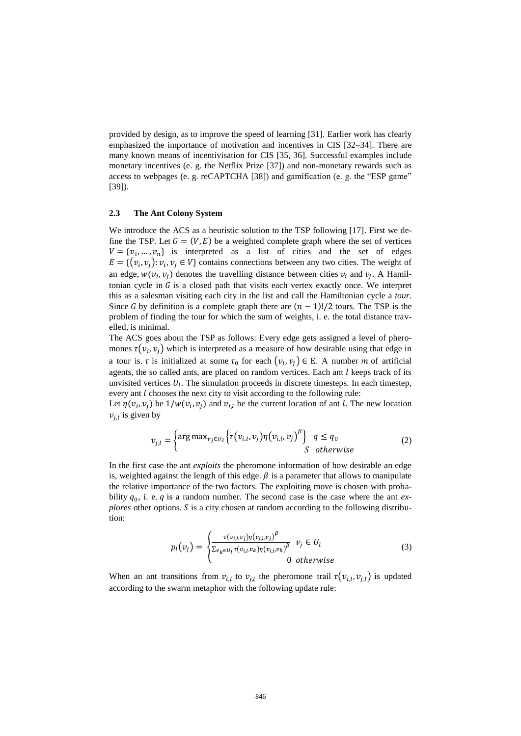provided by design, as to improve the speed of learning [31]. Earlier work has clearly emphasized the importance of motivation and incentives in CIS [32–34]. There are many known means of incentivisation for CIS [35, 36]. Successful examples include monetary incentives (e. g. the Netflix Prize [37]) and non-monetary rewards such as access to webpages (e. g. reCAPTCHA [38]) and gamification (e. g. the "ESP game" [39]).

#### **2.3 The Ant Colony System**

We introduce the ACS as a heuristic solution to the TSP following [17]. First we define the TSP. Let  $G = (V, E)$  be a weighted complete graph where the set of vertices  $V = \{v_1, ..., v_n\}$  is interpreted as a list of cities and the set of edges  $E = \{ (v_i, v_j) : v_i, v_j \in V \}$  contains connections between any two cities. The weight of an edge,  $w(v_i, v_j)$  denotes the travelling distance between cities  $v_i$  and  $v_j$ . A Hamiltonian cycle in  $G$  is a closed path that visits each vertex exactly once. We interpret this as a salesman visiting each city in the list and call the Hamiltonian cycle a *tour*. Since G by definition is a complete graph there are  $(n - 1)!/2$  tours. The TSP is the problem of finding the tour for which the sum of weights, i. e. the total distance travelled, is minimal.

The ACS goes about the TSP as follows: Every edge gets assigned a level of pheromones  $\tau(v_i, v_j)$  which is interpreted as a measure of how desirable using that edge in a tour is.  $\tau$  is initialized at some  $\tau_0$  for each  $(v_i, v_j) \in E$ . A number m of artificial agents, the so called ants, are placed on random vertices. Each ant  $l$  keeps track of its unvisited vertices  $U_l$ . The simulation proceeds in discrete timesteps. In each timestep, every ant  $l$  chooses the next city to visit according to the following rule:

Let  $\eta(v_i, v_j)$  be  $1/w(v_i, v_j)$  and  $v_{i,l}$  be the current location of ant *l*. The new location  $v_{j,l}$  is given by

$$
v_{j,l} = \begin{cases} \arg \max_{v_j \in U_l} \left\{ \tau(v_{i,l}, v_j) \eta(v_{i,l}, v_j)^{\beta} \right\} & q \le q_0 \\ S & \text{otherwise} \end{cases} \tag{2}
$$

In the first case the ant *exploits* the pheromone information of how desirable an edge is, weighted against the length of this edge.  $\beta$  is a parameter that allows to manipulate the relative importance of the two factors. The exploiting move is chosen with probability  $q_0$ , i. e.  $q$  is a random number. The second case is the case where the ant  $ex$ *plores* other options. S is a city chosen at random according to the following distribution:

$$
p_l(v_j) = \begin{cases} \frac{\tau(v_{i,l}v_j)\eta(v_{i,l}v_j)^{\beta}}{\sum_{v_k \in U_l} \tau(v_{i,l}v_k)\eta(v_{i,l}v_k)^{\beta}} & v_j \in U_l\\ 0 & \text{otherwise} \end{cases}
$$
(3)

When an ant transitions from  $v_{i,l}$  to  $v_{j,l}$  the pheromone trail  $\tau(v_{i,l}, v_{j,l})$  is updated according to the swarm metaphor with the following update rule: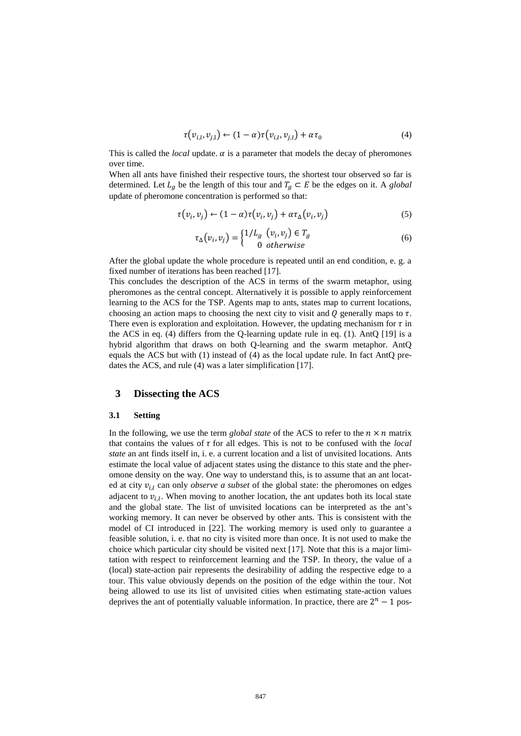$$
\tau(v_{i,l}, v_{j,l}) \leftarrow (1 - \alpha)\tau(v_{i,l}, v_{j,l}) + \alpha\tau_0 \tag{4}
$$

This is called the *local* update.  $\alpha$  is a parameter that models the decay of pheromones over time.

When all ants have finished their respective tours, the shortest tour observed so far is determined. Let  $L_g$  be the length of this tour and  $T_g \subset E$  be the edges on it. A *global* update of pheromone concentration is performed so that:

$$
\tau(v_i, v_j) \leftarrow (1 - \alpha)\tau(v_i, v_j) + \alpha\tau_{\Delta}(v_i, v_j)
$$
\n<sup>(5)</sup>

$$
\tau_{\Delta}(v_i, v_j) = \begin{cases} 1/L_g & (v_i, v_j) \in T_g \\ 0 & \text{otherwise} \end{cases}
$$
 (6)

After the global update the whole procedure is repeated until an end condition, e. g. a fixed number of iterations has been reached [17].

This concludes the description of the ACS in terms of the swarm metaphor, using pheromones as the central concept. Alternatively it is possible to apply reinforcement learning to the ACS for the TSP. Agents map to ants, states map to current locations, choosing an action maps to choosing the next city to visit and  $Q$  generally maps to  $\tau$ . There even is exploration and exploitation. However, the updating mechanism for  $\tau$  in the ACS in eq. (4) differs from the Q-learning update rule in eq. (1). AntQ [19] is a hybrid algorithm that draws on both Q-learning and the swarm metaphor. AntQ equals the ACS but with (1) instead of (4) as the local update rule. In fact AntQ predates the ACS, and rule (4) was a later simplification [17].

# **3 Dissecting the ACS**

## **3.1 Setting**

In the following, we use the term *global state* of the ACS to refer to the  $n \times n$  matrix that contains the values of  $\tau$  for all edges. This is not to be confused with the *local state* an ant finds itself in, i. e. a current location and a list of unvisited locations. Ants estimate the local value of adjacent states using the distance to this state and the pheromone density on the way. One way to understand this, is to assume that an ant located at city  $v_{i,l}$  can only *observe a subset* of the global state: the pheromones on edges adjacent to  $v_{i,l}$ . When moving to another location, the ant updates both its local state and the global state. The list of unvisited locations can be interpreted as the ant's working memory. It can never be observed by other ants. This is consistent with the model of CI introduced in [22]. The working memory is used only to guarantee a feasible solution, i. e. that no city is visited more than once. It is not used to make the choice which particular city should be visited next [17]. Note that this is a major limitation with respect to reinforcement learning and the TSP. In theory, the value of a (local) state-action pair represents the desirability of adding the respective edge to a tour. This value obviously depends on the position of the edge within the tour. Not being allowed to use its list of unvisited cities when estimating state-action values deprives the ant of potentially valuable information. In practice, there are  $2^n - 1$  pos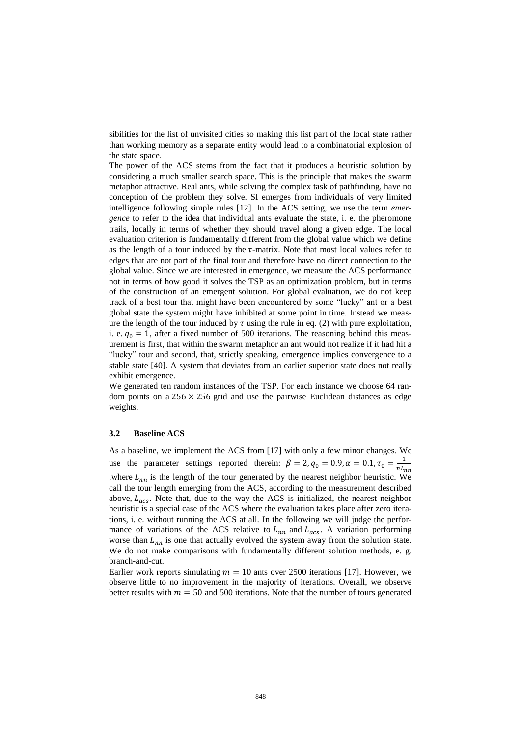sibilities for the list of unvisited cities so making this list part of the local state rather than working memory as a separate entity would lead to a combinatorial explosion of the state space.

The power of the ACS stems from the fact that it produces a heuristic solution by considering a much smaller search space. This is the principle that makes the swarm metaphor attractive. Real ants, while solving the complex task of pathfinding, have no conception of the problem they solve. SI emerges from individuals of very limited intelligence following simple rules [12]. In the ACS setting, we use the term *emergence* to refer to the idea that individual ants evaluate the state, i. e. the pheromone trails, locally in terms of whether they should travel along a given edge. The local evaluation criterion is fundamentally different from the global value which we define as the length of a tour induced by the  $\tau$ -matrix. Note that most local values refer to edges that are not part of the final tour and therefore have no direct connection to the global value. Since we are interested in emergence, we measure the ACS performance not in terms of how good it solves the TSP as an optimization problem, but in terms of the construction of an emergent solution. For global evaluation, we do not keep track of a best tour that might have been encountered by some "lucky" ant or a best global state the system might have inhibited at some point in time. Instead we measure the length of the tour induced by  $\tau$  using the rule in eq. (2) with pure exploitation, i. e.  $q_0 = 1$ , after a fixed number of 500 iterations. The reasoning behind this measurement is first, that within the swarm metaphor an ant would not realize if it had hit a "lucky" tour and second, that, strictly speaking, emergence implies convergence to a stable state [40]. A system that deviates from an earlier superior state does not really exhibit emergence.

We generated ten random instances of the TSP. For each instance we choose 64 random points on a  $256 \times 256$  grid and use the pairwise Euclidean distances as edge weights.

#### **3.2 Baseline ACS**

As a baseline, we implement the ACS from [17] with only a few minor changes. We use the parameter settings reported therein:  $\beta = 2, q_0 = 0.9, \alpha = 0.1, \tau_0 = \frac{1}{nL}$  $n_{nn}$ , where  $L_{nn}$  is the length of the tour generated by the nearest neighbor heuristic. We call the tour length emerging from the ACS, according to the measurement described above,  $L_{acs}$ . Note that, due to the way the ACS is initialized, the nearest neighbor heuristic is a special case of the ACS where the evaluation takes place after zero iterations, i. e. without running the ACS at all. In the following we will judge the performance of variations of the ACS relative to  $L_{nn}$  and  $L_{acs}$ . A variation performing worse than  $L_{nn}$  is one that actually evolved the system away from the solution state. We do not make comparisons with fundamentally different solution methods, e. g. branch-and-cut.

Earlier work reports simulating  $m = 10$  ants over 2500 iterations [17]. However, we observe little to no improvement in the majority of iterations. Overall, we observe better results with  $m = 50$  and 500 iterations. Note that the number of tours generated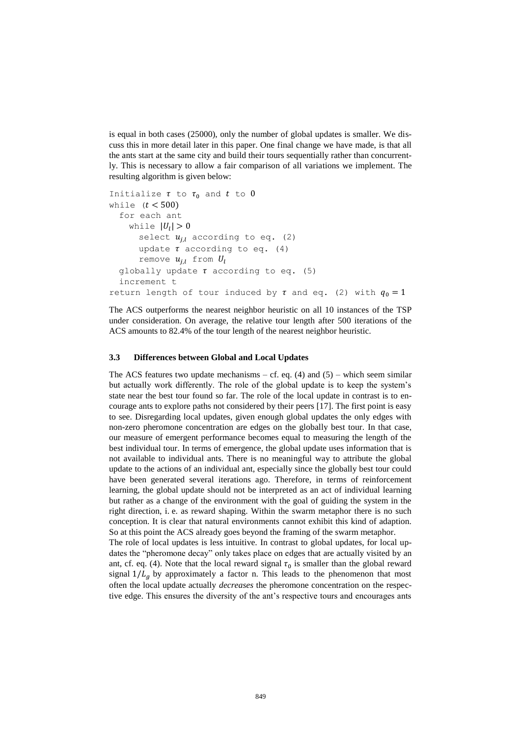is equal in both cases (25000), only the number of global updates is smaller. We discuss this in more detail later in this paper. One final change we have made, is that all the ants start at the same city and build their tours sequentially rather than concurrently. This is necessary to allow a fair comparison of all variations we implement. The resulting algorithm is given below:

```
Initialize \tau to \tau_0 and t to 0while (t < 500)for each ant
    while |U_l| > 0select u_{j,l} according to eq. (2)
      update \tau according to eq. (4)
      remove u_{i,l} from U_lglobally update \tau according to eq. (5)
  increment t
return length of tour induced by \tau and eq. (2) with q_0 = 1
```
The ACS outperforms the nearest neighbor heuristic on all 10 instances of the TSP under consideration. On average, the relative tour length after 500 iterations of the ACS amounts to 82.4% of the tour length of the nearest neighbor heuristic.

#### **3.3 Differences between Global and Local Updates**

The ACS features two update mechanisms – cf. eq.  $(4)$  and  $(5)$  – which seem similar but actually work differently. The role of the global update is to keep the system's state near the best tour found so far. The role of the local update in contrast is to encourage ants to explore paths not considered by their peers [17]. The first point is easy to see. Disregarding local updates, given enough global updates the only edges with non-zero pheromone concentration are edges on the globally best tour. In that case, our measure of emergent performance becomes equal to measuring the length of the best individual tour. In terms of emergence, the global update uses information that is not available to individual ants. There is no meaningful way to attribute the global update to the actions of an individual ant, especially since the globally best tour could have been generated several iterations ago. Therefore, in terms of reinforcement learning, the global update should not be interpreted as an act of individual learning but rather as a change of the environment with the goal of guiding the system in the right direction, i. e. as reward shaping. Within the swarm metaphor there is no such conception. It is clear that natural environments cannot exhibit this kind of adaption. So at this point the ACS already goes beyond the framing of the swarm metaphor.

The role of local updates is less intuitive. In contrast to global updates, for local updates the "pheromone decay" only takes place on edges that are actually visited by an ant, cf. eq. (4). Note that the local reward signal  $\tau_0$  is smaller than the global reward signal  $1/L_a$  by approximately a factor n. This leads to the phenomenon that most often the local update actually *decreases* the pheromone concentration on the respective edge. This ensures the diversity of the ant's respective tours and encourages ants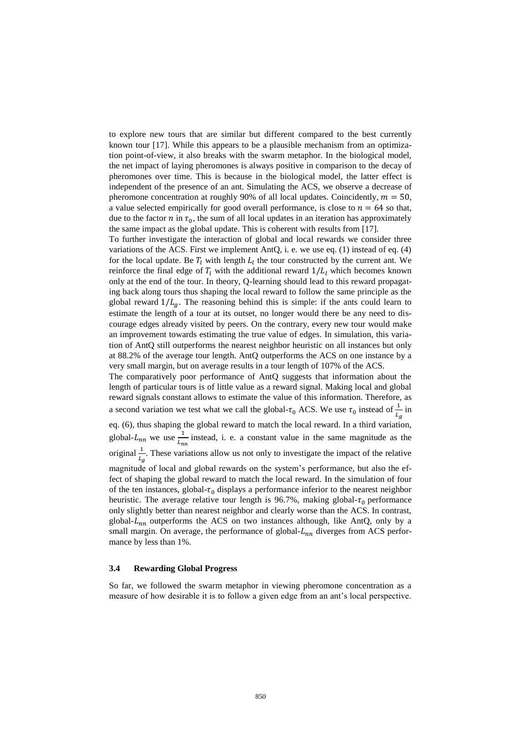to explore new tours that are similar but different compared to the best currently known tour [17]. While this appears to be a plausible mechanism from an optimization point-of-view, it also breaks with the swarm metaphor. In the biological model, the net impact of laying pheromones is always positive in comparison to the decay of pheromones over time. This is because in the biological model, the latter effect is independent of the presence of an ant. Simulating the ACS, we observe a decrease of pheromone concentration at roughly 90% of all local updates. Coincidently,  $m = 50$ , a value selected empirically for good overall performance, is close to  $n = 64$  so that, due to the factor  $n$  in  $\tau_0$ , the sum of all local updates in an iteration has approximately the same impact as the global update. This is coherent with results from [17].

To further investigate the interaction of global and local rewards we consider three variations of the ACS. First we implement AntQ, i. e. we use eq. (1) instead of eq. (4) for the local update. Be  $T_l$  with length  $L_l$  the tour constructed by the current ant. We reinforce the final edge of  $T_l$  with the additional reward  $1/L_l$  which becomes known only at the end of the tour. In theory, Q-learning should lead to this reward propagating back along tours thus shaping the local reward to follow the same principle as the global reward  $1/L_a$ . The reasoning behind this is simple: if the ants could learn to estimate the length of a tour at its outset, no longer would there be any need to discourage edges already visited by peers. On the contrary, every new tour would make an improvement towards estimating the true value of edges. In simulation, this variation of AntQ still outperforms the nearest neighbor heuristic on all instances but only at 88.2% of the average tour length. AntQ outperforms the ACS on one instance by a very small margin, but on average results in a tour length of 107% of the ACS.

The comparatively poor performance of AntQ suggests that information about the length of particular tours is of little value as a reward signal. Making local and global reward signals constant allows to estimate the value of this information. Therefore, as a second variation we test what we call the global- $\tau_0$  ACS. We use  $\tau_0$  instead of  $\frac{1}{L_g}$  in eq. (6), thus shaping the global reward to match the local reward. In a third variation, global- $L_{nn}$  we use  $\frac{1}{L_{nn}}$  $\frac{1}{L_{nn}}$  instead, i. e. a constant value in the same magnitude as the original  $\frac{1}{L_g}$ . These variations allow us not only to investigate the impact of the relative magnitude of local and global rewards on the system's performance, but also the effect of shaping the global reward to match the local reward. In the simulation of four of the ten instances, global- $\tau_0$  displays a performance inferior to the nearest neighbor heuristic. The average relative tour length is 96.7%, making global- $\tau_0$  performance only slightly better than nearest neighbor and clearly worse than the ACS. In contrast, global- $L_{nn}$  outperforms the ACS on two instances although, like AntQ, only by a small margin. On average, the performance of global- $L_{nn}$  diverges from ACS performance by less than 1%.

#### **3.4 Rewarding Global Progress**

So far, we followed the swarm metaphor in viewing pheromone concentration as a measure of how desirable it is to follow a given edge from an ant's local perspective.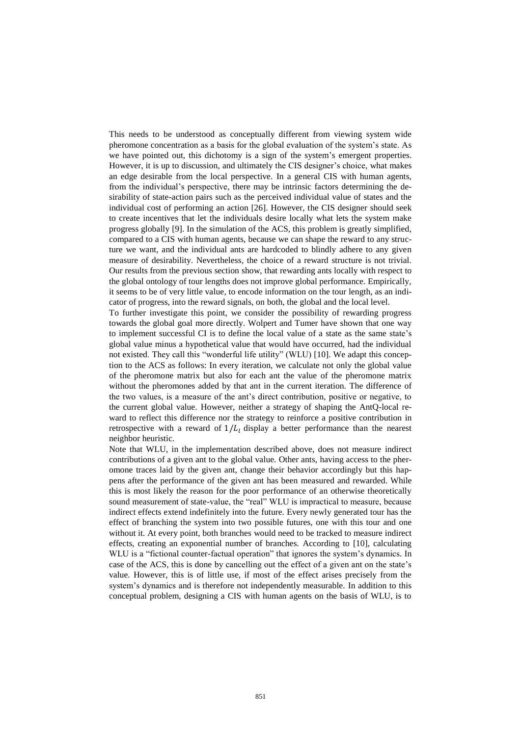This needs to be understood as conceptually different from viewing system wide pheromone concentration as a basis for the global evaluation of the system's state. As we have pointed out, this dichotomy is a sign of the system's emergent properties. However, it is up to discussion, and ultimately the CIS designer's choice, what makes an edge desirable from the local perspective. In a general CIS with human agents, from the individual's perspective, there may be intrinsic factors determining the desirability of state-action pairs such as the perceived individual value of states and the individual cost of performing an action [26]. However, the CIS designer should seek to create incentives that let the individuals desire locally what lets the system make progress globally [9]. In the simulation of the ACS, this problem is greatly simplified, compared to a CIS with human agents, because we can shape the reward to any structure we want, and the individual ants are hardcoded to blindly adhere to any given measure of desirability. Nevertheless, the choice of a reward structure is not trivial. Our results from the previous section show, that rewarding ants locally with respect to the global ontology of tour lengths does not improve global performance. Empirically, it seems to be of very little value, to encode information on the tour length, as an indicator of progress, into the reward signals, on both, the global and the local level.

To further investigate this point, we consider the possibility of rewarding progress towards the global goal more directly. Wolpert and Tumer have shown that one way to implement successful CI is to define the local value of a state as the same state's global value minus a hypothetical value that would have occurred, had the individual not existed. They call this "wonderful life utility" (WLU) [10]. We adapt this conception to the ACS as follows: In every iteration, we calculate not only the global value of the pheromone matrix but also for each ant the value of the pheromone matrix without the pheromones added by that ant in the current iteration. The difference of the two values, is a measure of the ant's direct contribution, positive or negative, to the current global value. However, neither a strategy of shaping the AntQ-local reward to reflect this difference nor the strategy to reinforce a positive contribution in retrospective with a reward of  $1/L<sub>l</sub>$  display a better performance than the nearest neighbor heuristic.

Note that WLU, in the implementation described above, does not measure indirect contributions of a given ant to the global value. Other ants, having access to the pheromone traces laid by the given ant, change their behavior accordingly but this happens after the performance of the given ant has been measured and rewarded. While this is most likely the reason for the poor performance of an otherwise theoretically sound measurement of state-value, the "real" WLU is impractical to measure, because indirect effects extend indefinitely into the future. Every newly generated tour has the effect of branching the system into two possible futures, one with this tour and one without it. At every point, both branches would need to be tracked to measure indirect effects, creating an exponential number of branches. According to [10], calculating WLU is a "fictional counter-factual operation" that ignores the system's dynamics. In case of the ACS, this is done by cancelling out the effect of a given ant on the state's value. However, this is of little use, if most of the effect arises precisely from the system's dynamics and is therefore not independently measurable. In addition to this conceptual problem, designing a CIS with human agents on the basis of WLU, is to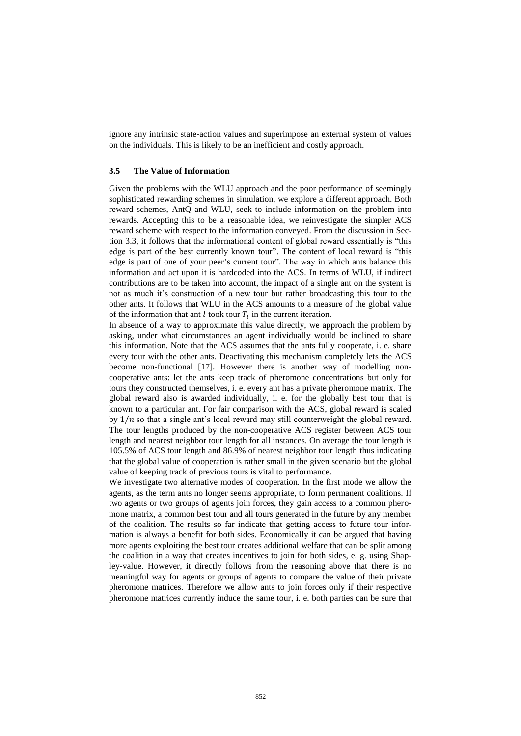ignore any intrinsic state-action values and superimpose an external system of values on the individuals. This is likely to be an inefficient and costly approach.

#### **3.5 The Value of Information**

Given the problems with the WLU approach and the poor performance of seemingly sophisticated rewarding schemes in simulation, we explore a different approach. Both reward schemes, AntQ and WLU, seek to include information on the problem into rewards. Accepting this to be a reasonable idea, we reinvestigate the simpler ACS reward scheme with respect to the information conveyed. From the discussion in Section 3.3, it follows that the informational content of global reward essentially is "this edge is part of the best currently known tour". The content of local reward is "this edge is part of one of your peer's current tour". The way in which ants balance this information and act upon it is hardcoded into the ACS. In terms of WLU, if indirect contributions are to be taken into account, the impact of a single ant on the system is not as much it's construction of a new tour but rather broadcasting this tour to the other ants. It follows that WLU in the ACS amounts to a measure of the global value of the information that ant  $l$  took tour  $T_l$  in the current iteration.

In absence of a way to approximate this value directly, we approach the problem by asking, under what circumstances an agent individually would be inclined to share this information. Note that the ACS assumes that the ants fully cooperate, i. e. share every tour with the other ants. Deactivating this mechanism completely lets the ACS become non-functional [17]. However there is another way of modelling noncooperative ants: let the ants keep track of pheromone concentrations but only for tours they constructed themselves, i. e. every ant has a private pheromone matrix. The global reward also is awarded individually, i. e. for the globally best tour that is known to a particular ant. For fair comparison with the ACS, global reward is scaled by  $1/n$  so that a single ant's local reward may still counterweight the global reward. The tour lengths produced by the non-cooperative ACS register between ACS tour length and nearest neighbor tour length for all instances. On average the tour length is 105.5% of ACS tour length and 86.9% of nearest neighbor tour length thus indicating that the global value of cooperation is rather small in the given scenario but the global value of keeping track of previous tours is vital to performance.

We investigate two alternative modes of cooperation. In the first mode we allow the agents, as the term ants no longer seems appropriate, to form permanent coalitions. If two agents or two groups of agents join forces, they gain access to a common pheromone matrix, a common best tour and all tours generated in the future by any member of the coalition. The results so far indicate that getting access to future tour information is always a benefit for both sides. Economically it can be argued that having more agents exploiting the best tour creates additional welfare that can be split among the coalition in a way that creates incentives to join for both sides, e. g. using Shapley-value. However, it directly follows from the reasoning above that there is no meaningful way for agents or groups of agents to compare the value of their private pheromone matrices. Therefore we allow ants to join forces only if their respective pheromone matrices currently induce the same tour, i. e. both parties can be sure that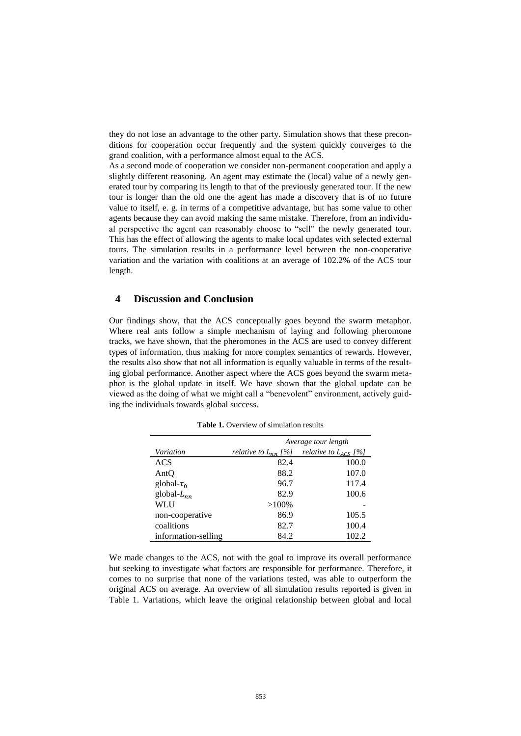they do not lose an advantage to the other party. Simulation shows that these preconditions for cooperation occur frequently and the system quickly converges to the grand coalition, with a performance almost equal to the ACS.

As a second mode of cooperation we consider non-permanent cooperation and apply a slightly different reasoning. An agent may estimate the (local) value of a newly generated tour by comparing its length to that of the previously generated tour. If the new tour is longer than the old one the agent has made a discovery that is of no future value to itself, e. g. in terms of a competitive advantage, but has some value to other agents because they can avoid making the same mistake. Therefore, from an individual perspective the agent can reasonably choose to "sell" the newly generated tour. This has the effect of allowing the agents to make local updates with selected external tours. The simulation results in a performance level between the non-cooperative variation and the variation with coalitions at an average of 102.2% of the ACS tour length.

# **4 Discussion and Conclusion**

Our findings show, that the ACS conceptually goes beyond the swarm metaphor. Where real ants follow a simple mechanism of laying and following pheromone tracks, we have shown, that the pheromones in the ACS are used to convey different types of information, thus making for more complex semantics of rewards. However, the results also show that not all information is equally valuable in terms of the resulting global performance. Another aspect where the ACS goes beyond the swarm metaphor is the global update in itself. We have shown that the global update can be viewed as the doing of what we might call a "benevolent" environment, actively guiding the individuals towards global success.

|                     | Average tour length      |                           |
|---------------------|--------------------------|---------------------------|
| Variation           | relative to $L_{nn}$ [%] | relative to $L_{ACS}$ [%] |
| ACS                 | 82.4                     | 100.0                     |
| AntO                | 88.2                     | 107.0                     |
| global- $\tau_0$    | 96.7                     | 117.4                     |
| global- $L_{nn}$    | 82.9                     | 100.6                     |
| WLU                 | $>100\%$                 |                           |
| non-cooperative     | 86.9                     | 105.5                     |
| coalitions          | 82.7                     | 100.4                     |
| information-selling | 84.2                     | 102.2                     |

**Table 1.** Overview of simulation results

We made changes to the ACS, not with the goal to improve its overall performance but seeking to investigate what factors are responsible for performance. Therefore, it comes to no surprise that none of the variations tested, was able to outperform the original ACS on average. An overview of all simulation results reported is given in Table 1. Variations, which leave the original relationship between global and local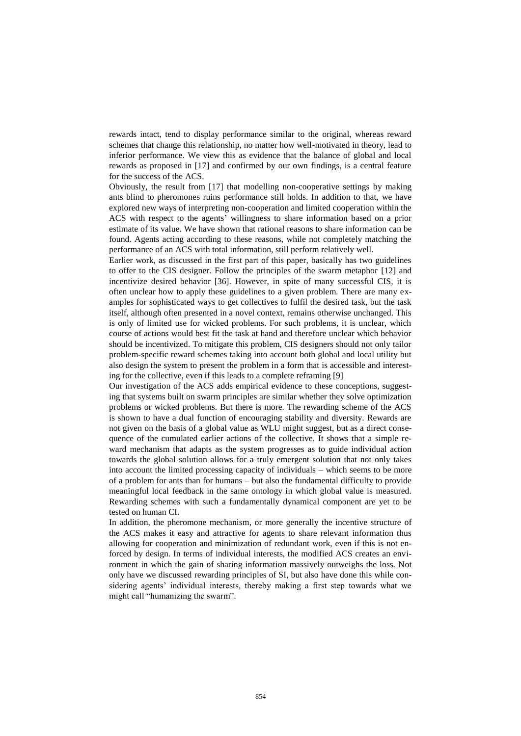rewards intact, tend to display performance similar to the original, whereas reward schemes that change this relationship, no matter how well-motivated in theory, lead to inferior performance. We view this as evidence that the balance of global and local rewards as proposed in [17] and confirmed by our own findings, is a central feature for the success of the ACS.

Obviously, the result from [17] that modelling non-cooperative settings by making ants blind to pheromones ruins performance still holds. In addition to that, we have explored new ways of interpreting non-cooperation and limited cooperation within the ACS with respect to the agents' willingness to share information based on a prior estimate of its value. We have shown that rational reasons to share information can be found. Agents acting according to these reasons, while not completely matching the performance of an ACS with total information, still perform relatively well.

Earlier work, as discussed in the first part of this paper, basically has two guidelines to offer to the CIS designer. Follow the principles of the swarm metaphor [12] and incentivize desired behavior [36]. However, in spite of many successful CIS, it is often unclear how to apply these guidelines to a given problem. There are many examples for sophisticated ways to get collectives to fulfil the desired task, but the task itself, although often presented in a novel context, remains otherwise unchanged. This is only of limited use for wicked problems. For such problems, it is unclear, which course of actions would best fit the task at hand and therefore unclear which behavior should be incentivized. To mitigate this problem, CIS designers should not only tailor problem-specific reward schemes taking into account both global and local utility but also design the system to present the problem in a form that is accessible and interesting for the collective, even if this leads to a complete reframing [9]

Our investigation of the ACS adds empirical evidence to these conceptions, suggesting that systems built on swarm principles are similar whether they solve optimization problems or wicked problems. But there is more. The rewarding scheme of the ACS is shown to have a dual function of encouraging stability and diversity. Rewards are not given on the basis of a global value as WLU might suggest, but as a direct consequence of the cumulated earlier actions of the collective. It shows that a simple reward mechanism that adapts as the system progresses as to guide individual action towards the global solution allows for a truly emergent solution that not only takes into account the limited processing capacity of individuals – which seems to be more of a problem for ants than for humans – but also the fundamental difficulty to provide meaningful local feedback in the same ontology in which global value is measured. Rewarding schemes with such a fundamentally dynamical component are yet to be tested on human CI.

In addition, the pheromone mechanism, or more generally the incentive structure of the ACS makes it easy and attractive for agents to share relevant information thus allowing for cooperation and minimization of redundant work, even if this is not enforced by design. In terms of individual interests, the modified ACS creates an environment in which the gain of sharing information massively outweighs the loss. Not only have we discussed rewarding principles of SI, but also have done this while considering agents' individual interests, thereby making a first step towards what we might call "humanizing the swarm".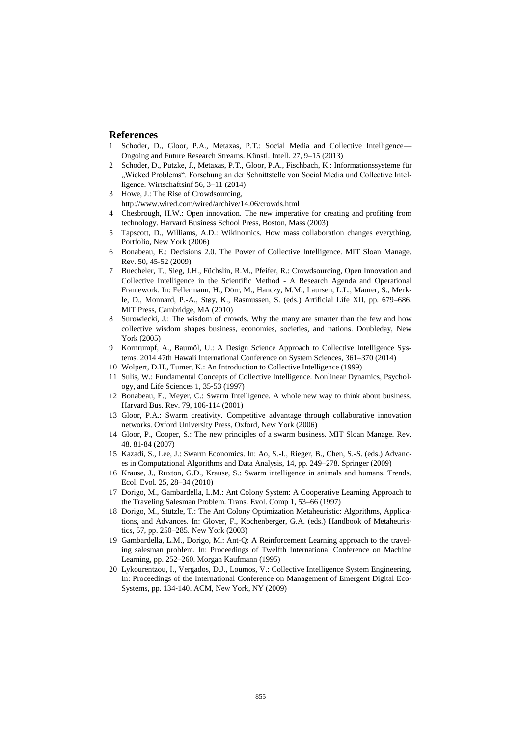## **References**

- 1 Schoder, D., Gloor, P.A., Metaxas, P.T.: Social Media and Collective Intelligence— Ongoing and Future Research Streams. Künstl. Intell. 27, 9–15 (2013)
- 2 Schoder, D., Putzke, J., Metaxas, P.T., Gloor, P.A., Fischbach, K.: Informationssysteme für "Wicked Problems". Forschung an der Schnittstelle von Social Media und Collective Intelligence. Wirtschaftsinf 56, 3–11 (2014)
- 3 Howe, J.: The Rise of Crowdsourcing, http://www.wired.com/wired/archive/14.06/crowds.html
- 4 Chesbrough, H.W.: Open innovation. The new imperative for creating and profiting from technology. Harvard Business School Press, Boston, Mass (2003)
- 5 Tapscott, D., Williams, A.D.: Wikinomics. How mass collaboration changes everything. Portfolio, New York (2006)
- 6 Bonabeau, E.: Decisions 2.0. The Power of Collective Intelligence. MIT Sloan Manage. Rev. 50, 45‐52 (2009)
- 7 Buecheler, T., Sieg, J.H., Füchslin, R.M., Pfeifer, R.: Crowdsourcing, Open Innovation and Collective Intelligence in the Scientific Method - A Research Agenda and Operational Framework. In: Fellermann, H., Dörr, M., Hanczy, M.M., Laursen, L.L., Maurer, S., Merkle, D., Monnard, P.-A., Støy, K., Rasmussen, S. (eds.) Artificial Life XII, pp. 679–686. MIT Press, Cambridge, MA (2010)
- 8 Surowiecki, J.: The wisdom of crowds. Why the many are smarter than the few and how collective wisdom shapes business, economies, societies, and nations. Doubleday, New York (2005)
- 9 Kornrumpf, A., Baumöl, U.: A Design Science Approach to Collective Intelligence Systems. 2014 47th Hawaii International Conference on System Sciences, 361–370 (2014)
- 10 Wolpert, D.H., Tumer, K.: An Introduction to Collective Intelligence (1999)
- 11 Sulis, W.: Fundamental Concepts of Collective Intelligence. Nonlinear Dynamics, Psychology, and Life Sciences 1, 35‐53 (1997)
- 12 Bonabeau, E., Meyer, C.: Swarm Intelligence. A whole new way to think about business. Harvard Bus. Rev. 79, 106‐114 (2001)
- 13 Gloor, P.A.: Swarm creativity. Competitive advantage through collaborative innovation networks. Oxford University Press, Oxford, New York (2006)
- 14 Gloor, P., Cooper, S.: The new principles of a swarm business. MIT Sloan Manage. Rev. 48, 81‐84 (2007)
- 15 Kazadi, S., Lee, J.: Swarm Economics. In: Ao, S.-I., Rieger, B., Chen, S.-S. (eds.) Advances in Computational Algorithms and Data Analysis, 14, pp. 249–278. Springer (2009)
- 16 Krause, J., Ruxton, G.D., Krause, S.: Swarm intelligence in animals and humans. Trends. Ecol. Evol. 25, 28–34 (2010)
- 17 Dorigo, M., Gambardella, L.M.: Ant Colony System: A Cooperative Learning Approach to the Traveling Salesman Problem. Trans. Evol. Comp 1, 53–66 (1997)
- 18 Dorigo, M., Stützle, T.: The Ant Colony Optimization Metaheuristic: Algorithms, Applications, and Advances. In: Glover, F., Kochenberger, G.A. (eds.) Handbook of Metaheuristics, 57, pp. 250–285. New York (2003)
- 19 Gambardella, L.M., Dorigo, M.: Ant-Q: A Reinforcement Learning approach to the traveling salesman problem. In: Proceedings of Twelfth International Conference on Machine Learning, pp. 252–260. Morgan Kaufmann (1995)
- 20 Lykourentzou, I., Vergados, D.J., Loumos, V.: Collective Intelligence System Engineering. In: Proceedings of the International Conference on Management of Emergent Digital Eco-Systems, pp. 134‐140. ACM, New York, NY (2009)